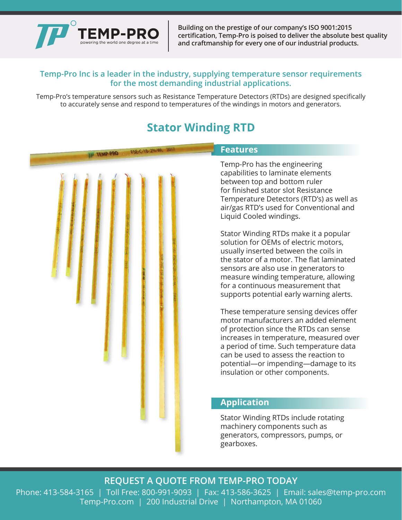

**Building on the prestige of our company's ISO 9001:2015 certification, Temp-Pro is poised to deliver the absolute best quality and craftmanship for every one of our industrial products.**

### **Temp-Pro Inc is a leader in the industry, supplying temperature sensor requirements for the most demanding industrial applications.**

Temp-Pro's temperature sensors such as Resistance Temperature Detectors (RTDs) are designed specifically to accurately sense and respond to temperatures of the windings in motors and generators.

# **Stator Winding RTD**

| FSE-C-18-2%-WL | <b>Features</b>                                                                                                                                                                                                                                                                                                                                                                                                                                                                                                                                                                                                                                                                                                                                                                                                                                                                                                                              |
|----------------|----------------------------------------------------------------------------------------------------------------------------------------------------------------------------------------------------------------------------------------------------------------------------------------------------------------------------------------------------------------------------------------------------------------------------------------------------------------------------------------------------------------------------------------------------------------------------------------------------------------------------------------------------------------------------------------------------------------------------------------------------------------------------------------------------------------------------------------------------------------------------------------------------------------------------------------------|
|                | Temp-Pro has the engineering<br>capabilities to laminate elements<br>between top and bottom ruler<br>for finished stator slot Resistance<br>Temperature Detectors (RTD's) as well as<br>air/gas RTD's used for Conventional and<br>Liquid Cooled windings.<br>Stator Winding RTDs make it a popular<br>solution for OEMs of electric motors,<br>usually inserted between the coils in<br>the stator of a motor. The flat laminated<br>sensors are also use in generators to<br>measure winding temperature, allowing<br>for a continuous measurement that<br>supports potential early warning alerts.<br>These temperature sensing devices offer<br>motor manufacturers an added element<br>of protection since the RTDs can sense<br>increases in temperature, measured over<br>a period of time. Such temperature data<br>can be used to assess the reaction to<br>potential-or impending-damage to its<br>insulation or other components. |
|                | <b>Application</b>                                                                                                                                                                                                                                                                                                                                                                                                                                                                                                                                                                                                                                                                                                                                                                                                                                                                                                                           |
|                | Stator Winding RTDs include rotating<br>machinery components such as<br>generators, compressors, pumps, or<br>gearboxes.                                                                                                                                                                                                                                                                                                                                                                                                                                                                                                                                                                                                                                                                                                                                                                                                                     |

## **REQUEST A QUOTE FROM TEMP-PRO TODAY**

Phone: 413-584-3165 | Toll Free: 800-991-9093 | Fax: 413-586-3625 | Email: sales@temp-pro.com Temp-Pro.com | 200 Industrial Drive | Northampton, MA 01060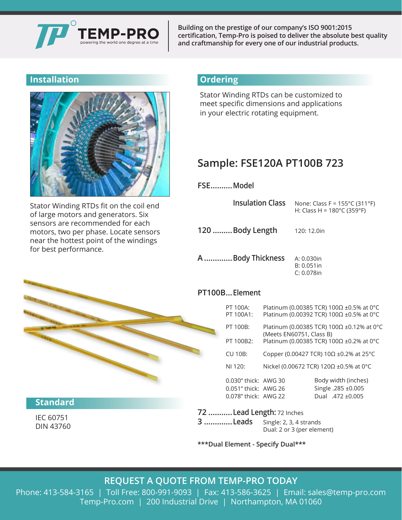

**Building on the prestige of our company's ISO 9001:2015 certification, Temp-Pro is poised to deliver the absolute best quality and craftmanship for every one of our industrial products.**

## **Installation**



Stator Winding RTDs fit on the coil end of large motors and generators. Six sensors are recommended for each motors, two per phase. Locate sensors near the hottest point of the windings for best performance.

## **Ordering**

Stator Winding RTDs can be customized to meet specific dimensions and applications in your electric rotating equipment.

# **Sample: FSE120A PT100B 723**

**FSE..........Model**

| <b>Insulation Class</b> | None: Class F = $155^{\circ}$ C (311 $^{\circ}$ F)<br>H: Class H = $180^{\circ}$ C (359 $^{\circ}$ F) |
|-------------------------|-------------------------------------------------------------------------------------------------------|
| 120 Body Length         | 120: 12.0in                                                                                           |
| A Body Thickness        | A: 0.030in<br>$B: 0.051$ in<br>$C: 0.078$ in                                                          |

### **PT100B...Element**

| PT 100A:<br>PT 100A1: |                                                                       | Platinum (0.00385 TCR) 100Ω ±0.5% at 0°C<br>Platinum (0.00392 TCR) 100Ω ±0.5% at 0°C |
|-----------------------|-----------------------------------------------------------------------|--------------------------------------------------------------------------------------|
| PT 100B:              | Platinum (0.00385 TCR) 100Ω ±0.12% at 0°C<br>(Meets EN60751, Class B) |                                                                                      |
| PT 100B2:             |                                                                       | Platinum (0.00385 TCR) 100Ω ±0.2% at 0°C                                             |
| <b>CU 10B:</b>        |                                                                       | Copper (0.00427 TCR) 10 $\Omega$ ±0.2% at 25°C                                       |
| NI 120:               |                                                                       | Nickel (0.00672 TCR) 120Ω ±0.5% at 0°C                                               |
| 0.030" thick: AWG 30  |                                                                       | Body width (inches)                                                                  |
| 0.051" thick: AWG 26  |                                                                       | Single .285 ±0.005                                                                   |
| 0.078" thick: AWG 22  |                                                                       | Dual .472 ±0.005                                                                     |

#### **72 ...........Lead Length:** 72 Inches

| 3 Leads | Single: 2, 3, 4 strands    |
|---------|----------------------------|
|         | Dual: 2 or 3 (per element) |

**\*\*\*Dual Element - Specify Dual\*\*\***

## **REQUEST A QUOTE FROM TEMP-PRO TODAY**

Phone: 413-584-3165 | Toll Free: 800-991-9093 | Fax: 413-586-3625 | Email: sales@temp-pro.com Temp-Pro.com | 200 Industrial Drive | Northampton, MA 01060



## **Standard**

IEC 60751 DIN 43760